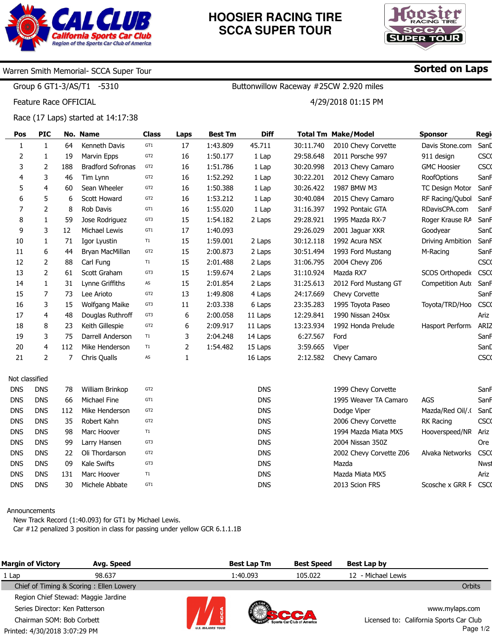

# **HOOSIER RACING TIRE SCCA SUPER TOUR**



## Warren Smith Memorial- SCCA Super Tour

Group 6 GT1-3/AS/T1 -5310

Feature Race OFFICIAL

Race (17 Laps) started at 14:17:38

| Pos            | <b>PIC</b>            |     | No. Name                 | <b>Class</b>    | Laps | <b>Best Tm</b> | <b>Diff</b> |           | <b>Total Tm Make/Model</b> | <b>Sponsor</b>         | Regi        |
|----------------|-----------------------|-----|--------------------------|-----------------|------|----------------|-------------|-----------|----------------------------|------------------------|-------------|
| $\mathbf{1}$   | $\mathbf{1}$          | 64  | Kenneth Davis            | GT1             | 17   | 1:43.809       | 45.711      | 30:11.740 | 2010 Chevy Corvette        | Davis Stone.com        | Sand        |
| $\overline{2}$ | 1                     | 19  | Marvin Epps              | GT <sub>2</sub> | 16   | 1:50.177       | 1 Lap       | 29:58.648 | 2011 Porsche 997           | 911 design             | <b>CSCO</b> |
| 3              | 2                     | 188 | <b>Bradford Sofronas</b> | GT <sub>2</sub> | 16   | 1:51.786       | 1 Lap       | 30:20.998 | 2013 Chevy Camaro          | <b>GMC Hoosier</b>     | <b>CSCO</b> |
| 4              | 3                     | 46  | Tim Lynn                 | GT <sub>2</sub> | 16   | 1:52.292       | 1 Lap       | 30:22.201 | 2012 Chevy Camaro          | <b>RoofOptions</b>     | SanF        |
| 5              | 4                     | 60  | Sean Wheeler             | GT <sub>2</sub> | 16   | 1:50.388       | 1 Lap       | 30:26.422 | 1987 BMW M3                | <b>TC Design Motor</b> | SanF        |
| 6              | 5                     | 6   | Scott Howard             | GT <sub>2</sub> | 16   | 1:53.212       | 1 Lap       | 30:40.084 | 2015 Chevy Camaro          | RF Racing/Qubol        | SanF        |
| $\overline{7}$ | 2                     | 8   | Rob Davis                | GT1             | 16   | 1:55.020       | 1 Lap       | 31:16.397 | 1992 Pontaic GTA           | RDavisCPA.com          | SanF        |
| 8              | 1                     | 59  | Jose Rodriguez           | GT3             | 15   | 1:54.182       | 2 Laps      | 29:28.921 | 1995 Mazda RX-7            | Roger Krause RA        | SanF        |
| 9              | 3                     | 12  | Michael Lewis            | GT1             | 17   | 1:40.093       |             | 29:26.029 | 2001 Jaguar XKR            | Goodyear               | Sand        |
| 10             | $\mathbf{1}$          | 71  | Igor Lyustin             | T1              | 15   | 1:59.001       | 2 Laps      | 30:12.118 | 1992 Acura NSX             | Driving Ambition       | SanF        |
| 11             | 6                     | 44  | Bryan MacMillan          | GT <sub>2</sub> | 15   | 2:00.873       | 2 Laps      | 30:51.494 | 1993 Ford Mustang          | M-Racing               | Sanh        |
| 12             | $\mathbf{2}^{\prime}$ | 88  | Carl Fung                | T1              | 15   | 2:01.488       | 2 Laps      | 31:06.795 | 2004 Chevy Z06             |                        | <b>CSCO</b> |
| 13             | 2                     | 61  | Scott Graham             | GT3             | 15   | 1:59.674       | 2 Laps      | 31:10.924 | Mazda RX7                  | SCOS Orthopedio        | <b>CSCO</b> |
| 14             | $\mathbf{1}$          | 31  | Lynne Griffiths          | AS              | 15   | 2:01.854       | 2 Laps      | 31:25.613 | 2012 Ford Mustang GT       | Competition Auto       | SanF        |
| 15             | 7                     | 73  | Lee Arioto               | GT <sub>2</sub> | 13   | 1:49.808       | 4 Laps      | 24:17.669 | Chevy Corvette             |                        | SanF        |
| 16             | 3                     | 15  | Wolfgang Maike           | GT3             | 11   | 2:03.338       | 6 Laps      | 23:35.283 | 1995 Toyota Paseo          | Toyota/TRD/Hoo         | <b>CSCO</b> |
| 17             | 4                     | 48  | Douglas Ruthroff         | GT3             | 6    | 2:00.058       | 11 Laps     | 12:29.841 | 1990 Nissan 240sx          |                        | Ariz        |
| 18             | 8                     | 23  | Keith Gillespie          | GT <sub>2</sub> | 6    | 2:09.917       | 11 Laps     | 13:23.934 | 1992 Honda Prelude         | Hasport Perform        | <b>ARIZ</b> |
| 19             | 3                     | 75  | Darrell Anderson         | T1              | 3    | 2:04.248       | 14 Laps     | 6:27.567  | Ford                       |                        | Sanh        |
| 20             | 4                     | 112 | Mike Henderson           | T1              | 2    | 1:54.482       | 15 Laps     | 3:59.665  | Viper                      |                        | SanD        |
| 21             | $\mathbf{2}^{\prime}$ | 7   | Chris Qualls             | AS              | 1    |                | 16 Laps     | 2:12.582  | Chevy Camaro               |                        | <b>CSCO</b> |
| Not classified |                       |     |                          |                 |      |                |             |           |                            |                        |             |
| <b>DNS</b>     | <b>DNS</b>            | 78  | William Brinkop          | GT <sub>2</sub> |      |                | <b>DNS</b>  |           | 1999 Chevy Corvette        |                        | SanF        |
| <b>DNS</b>     | <b>DNS</b>            | 66  | Michael Fine             | GT1             |      |                | <b>DNS</b>  |           | 1995 Weaver TA Camaro      | AGS                    | Sanh        |
| <b>DNS</b>     | <b>DNS</b>            | 112 | Mike Henderson           | GT <sub>2</sub> |      |                | <b>DNS</b>  |           | Dodge Viper                | Mazda/Red Oil/.        | SanD        |
| <b>DNS</b>     | <b>DNS</b>            | 35  | Robert Kahn              | GT <sub>2</sub> |      |                | <b>DNS</b>  |           | 2006 Chevy Corvette        | RK Racing              | <b>CSCO</b> |
| <b>DNS</b>     | <b>DNS</b>            | 98  | Marc Hoover              | T1              |      |                | <b>DNS</b>  |           | 1994 Mazda Miata MX5       | Hooverspeed/NR         | Ariz        |
| <b>DNS</b>     | <b>DNS</b>            | 99  | Larry Hansen             | GT3             |      |                | <b>DNS</b>  |           | 2004 Nissan 350Z           |                        | <b>Ore</b>  |
| <b>DNS</b>     | <b>DNS</b>            | 22  | Oli Thordarson           | GT <sub>2</sub> |      |                | <b>DNS</b>  |           | 2002 Chevy Corvette Z06    | Alvaka Networks        | CSC         |
| <b>DNS</b>     | <b>DNS</b>            | 09  | Kale Swifts              | GT3             |      |                | <b>DNS</b>  |           | Mazda                      |                        | <b>Nwst</b> |

#### Announcements

DNS DNS DNS

30

131 Marc Hoover

Kale Swifts

Michele Abbate

DNS DNS DNS

> New Track Record (1:40.093) for GT1 by Michael Lewis. Car #12 penalized 3 position in class for passing under yellow GCR 6.1.1.1B

GT3 T1 GT1

| <b>Margin of Victory</b>                | Avg. Speed |                         | <b>Best Lap Tm</b> | <b>Best Speed</b> | Best Lap by                             |                |
|-----------------------------------------|------------|-------------------------|--------------------|-------------------|-----------------------------------------|----------------|
| 1 Lap                                   | 98.637     |                         | 1:40.093           | 105.022           | 12 - Michael Lewis                      |                |
| Chief of Timing & Scoring: Ellen Lowery |            |                         |                    |                   |                                         | <b>Orbits</b>  |
| Region Chief Stewad: Maggie Jardine     |            |                         |                    |                   |                                         |                |
| Series Director: Ken Patterson          |            |                         |                    |                   |                                         | www.mylaps.com |
| Chairman SOM: Bob Corbett               |            |                         |                    |                   | Licensed to: California Sports Car Club |                |
| Printed: 4/30/2018 3:07:29 PM           |            | <b>U.S. MAJORS TOUR</b> |                    |                   |                                         | Page $1/2$     |

DNS DNS DNS

## Sorted on Laps

Scosche x GRR F CSCO

**Nws** Ariz

Buttonwillow Raceway #25CW 2.920 miles

4/29/2018 01:15 PM

Mazda Miata MX5 2013 Scion FRS